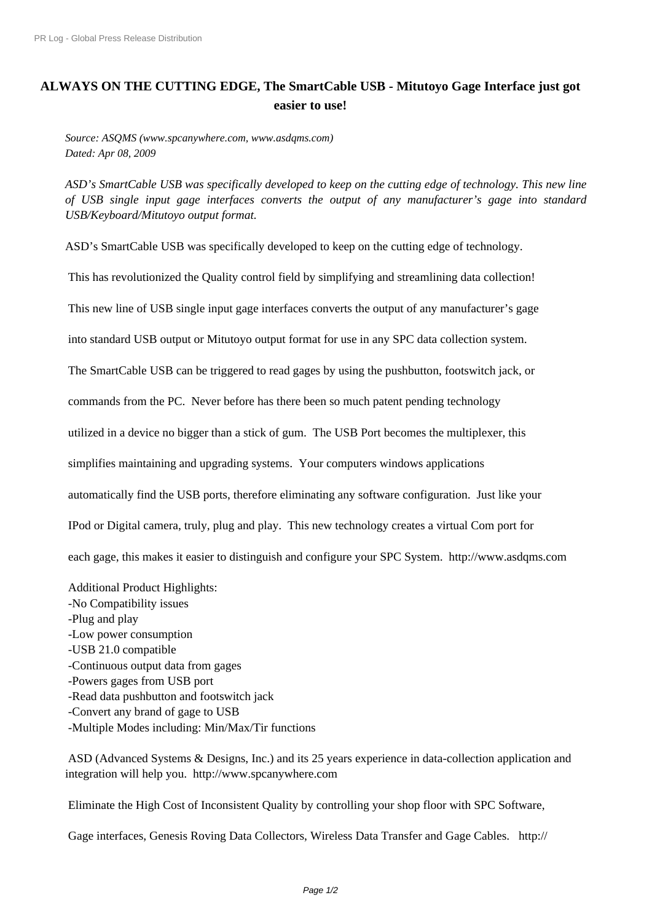## **[ALWAYS ON THE CUTTIN](http://www.prlog.org/)G EDGE, The SmartCable USB - Mitutoyo Gage Interface just got easier to use!**

*Source: ASQMS (www.spcanywhere.com, www.asdqms.com) Dated: Apr 08, 2009*

*ASD's SmartCable USB was specifically developed to keep on the cutting edge of technology. This new line of USB single input gage interfaces converts the output of any manufacturer's gage into standard USB/Keyboard/Mitutoyo output format.*

ASD's SmartCable USB was specifically developed to keep on the cutting edge of technology.

This has revolutionized the Quality control field by simplifying and streamlining data collection!

This new line of USB single input gage interfaces converts the output of any manufacturer's gage

into standard USB output or Mitutoyo output format for use in any SPC data collection system.

The SmartCable USB can be triggered to read gages by using the pushbutton, footswitch jack, or

commands from the PC. Never before has there been so much patent pending technology

utilized in a device no bigger than a stick of gum. The USB Port becomes the multiplexer, this

simplifies maintaining and upgrading systems. Your computers windows applications

automatically find the USB ports, therefore eliminating any software configuration. Just like your

IPod or Digital camera, truly, plug and play. This new technology creates a virtual Com port for

each gage, this makes it easier to distinguish and configure your SPC System. http://www.asdqms.com

Additional Product Highlights:

- No Compatibility issues
- Plug and play
- Low power consumption
- USB 21.0 compatible
- Continuous output data from gages
- Powers gages from USB port
- Read data pushbutton and footswitch jack
- Convert any brand of gage to USB
- Multiple Modes including: Min/Max/Tir functions

 ASD (Advanced Systems & Designs, Inc.) and its 25 years experience in data-collection application and integration will help you. http://www.spcanywhere.com

Eliminate the High Cost of Inconsistent Quality by controlling your shop floor with SPC Software,

Gage interfaces, Genesis [Roving Data Collectors, Wirel](http://www.prlog.org/10213424.html)ess Data Transfer and Gage Cables. http://